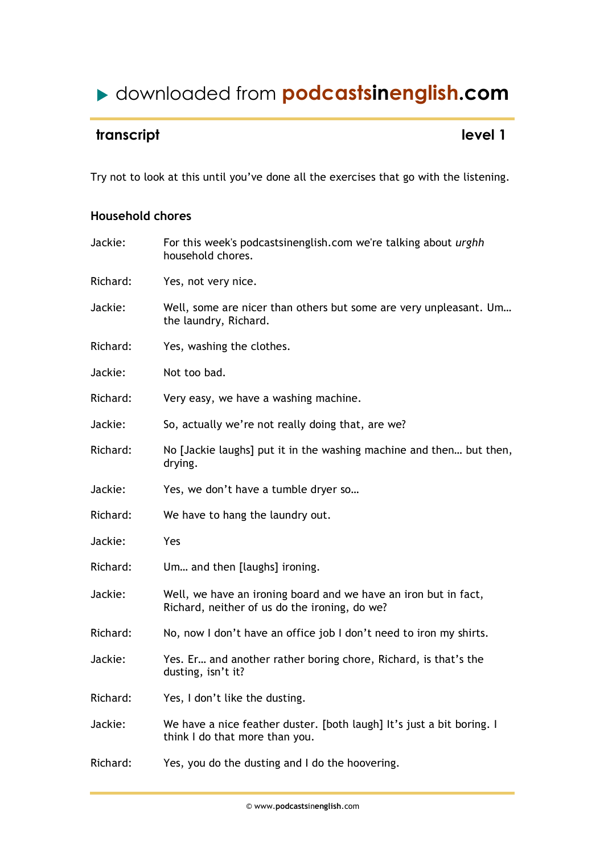# downloaded from **podcastsinenglish.com**

## **transcript** level 1

Try not to look at this until you've done all the exercises that go with the listening.

### **Household chores**

| Jackie:  | For this week's podcastsinenglish.com we're talking about urghh<br>household chores.                             |
|----------|------------------------------------------------------------------------------------------------------------------|
| Richard: | Yes, not very nice.                                                                                              |
| Jackie:  | Well, some are nicer than others but some are very unpleasant. Um<br>the laundry, Richard.                       |
| Richard: | Yes, washing the clothes.                                                                                        |
| Jackie:  | Not too bad.                                                                                                     |
| Richard: | Very easy, we have a washing machine.                                                                            |
| Jackie:  | So, actually we're not really doing that, are we?                                                                |
| Richard: | No [Jackie laughs] put it in the washing machine and then but then,<br>drying.                                   |
| Jackie:  | Yes, we don't have a tumble dryer so                                                                             |
| Richard: | We have to hang the laundry out.                                                                                 |
| Jackie:  | Yes                                                                                                              |
| Richard: | Um and then [laughs] ironing.                                                                                    |
| Jackie:  | Well, we have an ironing board and we have an iron but in fact,<br>Richard, neither of us do the ironing, do we? |
| Richard: | No, now I don't have an office job I don't need to iron my shirts.                                               |
| Jackie:  | Yes. Er and another rather boring chore, Richard, is that's the<br>dusting, isn't it?                            |
| Richard: | Yes, I don't like the dusting.                                                                                   |
| Jackie:  | We have a nice feather duster. [both laugh] It's just a bit boring. I<br>think I do that more than you.          |
| Richard: | Yes, you do the dusting and I do the hoovering.                                                                  |